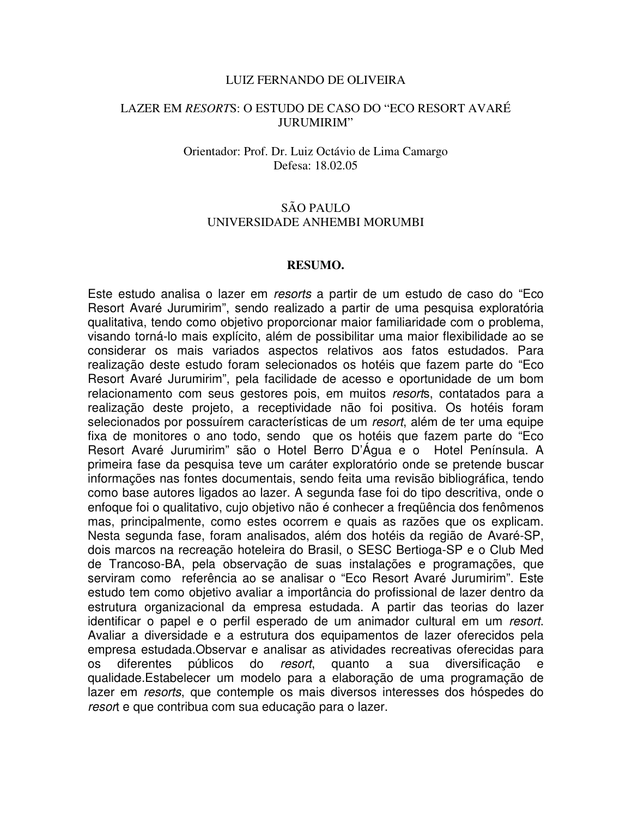### LUIZ FERNANDO DE OLIVEIRA

## LAZER EM *RESORT*S: O ESTUDO DE CASO DO "ECO RESORT AVARÉ JURUMIRIM"

### Orientador: Prof. Dr. Luiz Octávio de Lima Camargo Defesa: 18.02.05

# SÃO PAULO UNIVERSIDADE ANHEMBI MORUMBI

### **RESUMO.**

Este estudo analisa o lazer em *resorts* a partir de um estudo de caso do "Eco Resort Avaré Jurumirim", sendo realizado a partir de uma pesquisa exploratória qualitativa, tendo como objetivo proporcionar maior familiaridade com o problema, visando torná-lo mais explícito, além de possibilitar uma maior flexibilidade ao se considerar os mais variados aspectos relativos aos fatos estudados. Para realização deste estudo foram selecionados os hotéis que fazem parte do "Eco Resort Avaré Jurumirim", pela facilidade de acesso e oportunidade de um bom relacionamento com seus gestores pois, em muitos *resort*s, contatados para a realização deste projeto, a receptividade não foi positiva. Os hotéis foram selecionados por possuírem características de um *resort*, além de ter uma equipe fixa de monitores o ano todo, sendo que os hotéis que fazem parte do "Eco Resort Avaré Jurumirim" são o Hotel Berro D'Água e o Hotel Península. A primeira fase da pesquisa teve um caráter exploratório onde se pretende buscar informações nas fontes documentais, sendo feita uma revisão bibliográfica, tendo como base autores ligados ao lazer. A segunda fase foi do tipo descritiva, onde o enfoque foi o qualitativo, cujo objetivo não é conhecer a freqüência dos fenômenos mas, principalmente, como estes ocorrem e quais as razões que os explicam. Nesta segunda fase, foram analisados, além dos hotéis da região de Avaré-SP, dois marcos na recreação hoteleira do Brasil, o SESC Bertioga-SP e o Club Med de Trancoso-BA, pela observação de suas instalações e programações, que serviram como referência ao se analisar o "Eco Resort Avaré Jurumirim". Este estudo tem como objetivo avaliar a importância do profissional de lazer dentro da estrutura organizacional da empresa estudada. A partir das teorias do lazer identificar o papel e o perfil esperado de um animador cultural em um *resort*. Avaliar a diversidade e a estrutura dos equipamentos de lazer oferecidos pela empresa estudada.Observar e analisar as atividades recreativas oferecidas para os diferentes públicos do resort, quanto a sua diversificação qualidade.Estabelecer um modelo para a elaboração de uma programação de lazer em *resorts*, que contemple os mais diversos interesses dos hóspedes do *resor*t e que contribua com sua educação para o lazer.